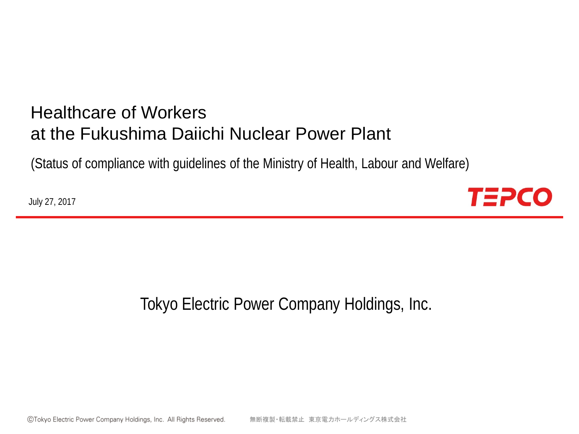# Healthcare of Workers at the Fukushima Daiichi Nuclear Power Plant

(Status of compliance with guidelines of the Ministry of Health, Labour and Welfare)

July 27, 2017



Tokyo Electric Power Company Holdings, Inc.

©Tokyo Electric Power Company Holdings, Inc. All Rights Reserved. 無断複製・転載禁止 東京電力ホールディングス株式会社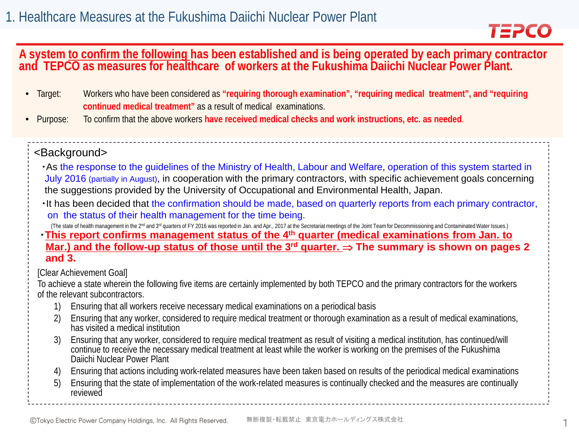

# **A system to confirm the following has been established and is being operated by each primary contractor and TEPCO as measures for healthcare of workers at the Fukushima Daiichi Nuclear Power Plant.**

- Target: Workers who have been considered as **"requiring thorough examination", "requiring medical treatment", and "requiring continued medical treatment"** as a result of medical examinations.
- Purpose: To confirm that the above workers **have received medical checks and work instructions, etc. as needed**.

#### <Background>

- ・As the response to the guidelines of the Ministry of Health, Labour and Welfare, operation of this system started in July 2016 (partially in August), in cooperation with the primary contractors, with specific achievement goals concerning the suggestions provided by the University of Occupational and Environmental Health, Japan.
- ・It has been decided that the confirmation should be made, based on quarterly reports from each primary contractor, on the status of their health management for the time being.

(The state of health management in the 2<sup>nd</sup> and 3<sup>rd</sup> quarters of FY 2016 was reported in Jan. and Apr., 2017 at the Secretariat meetings of the Joint Team for Decommissioning and Contaminated Water Issues.)

・**This report confirms management status of the 4th quarter (medical examinations from Jan. to Mar.) and the follow-up status of those until the 3rd quarter.** ⇒ **The summary is shown on pages 2 and 3.**

[Clear Achievement Goal]

To achieve a state wherein the following five items are certainly implemented by both TEPCO and the primary contractors for the workers of the relevant subcontractors.

- 1) Ensuring that all workers receive necessary medical examinations on a periodical basis
- 2) Ensuring that any worker, considered to require medical treatment or thorough examination as a result of medical examinations, has visited a medical institution
- 3) Ensuring that any worker, considered to require medical treatment as result of visiting a medical institution, has continued/will continue to receive the necessary medical treatment at least while the worker is working on the premises of the Fukushima Daiichi Nuclear Power Plant
- 4) Ensuring that actions including work-related measures have been taken based on results of the periodical medical examinations
- 5) Ensuring that the state of implementation of the work-related measures is continually checked and the measures are continually reviewed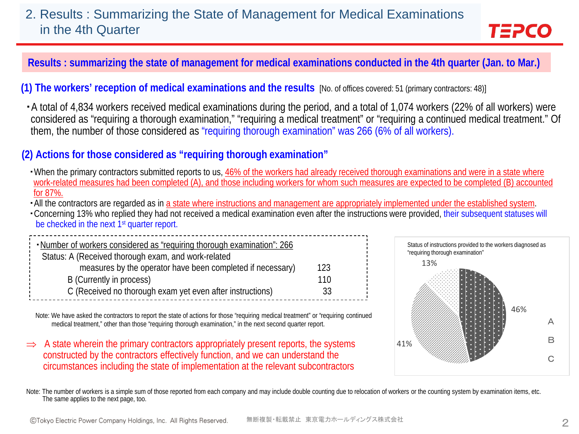# 2. Results : Summarizing the State of Management for Medical Examinations in the 4th Quarter

**Results : summarizing the state of management for medical examinations conducted in the 4th quarter (Jan. to Mar.)**

**(1) The workers' reception of medical examinations and the results** [No. of offices covered: 51 (primary contractors: 48)]

・A total of 4,834 workers received medical examinations during the period, and a total of 1,074 workers (22% of all workers) were considered as "requiring a thorough examination," "requiring a medical treatment" or "requiring a continued medical treatment." Of them, the number of those considered as "requiring thorough examination" was 266 (6% of all workers).

#### **(2) Actions for those considered as "requiring thorough examination"**

- ・When the primary contractors submitted reports to us, 46% of the workers had already received thorough examinations and were in a state where work-related measures had been completed (A), and those including workers for whom such measures are expected to be completed (B) accounted for 87%.
- All the contractors are regarded as in a state where instructions and management are appropriately implemented under the established system.
- ・Concerning 13% who replied they had not received a medical examination even after the instructions were provided, their subsequent statuses will be checked in the next 1<sup>st</sup> quarter report.

| . Number of workers considered as "requiring thorough examination": 266 |     |
|-------------------------------------------------------------------------|-----|
| Status: A (Received thorough exam, and work-related                     |     |
| measures by the operator have been completed if necessary)              | 123 |
| B (Currently in process)                                                | 110 |
| C (Received no thorough exam yet even after instructions)               | 33  |

Note: We have asked the contractors to report the state of actions for those "requiring medical treatment" or "requiring continued medical treatment," other than those "requiring thorough examination," in the next second quarter report.

⇒ A state wherein the primary contractors appropriately present reports, the systems constructed by the contractors effectively function, and we can understand the circumstances including the state of implementation at the relevant subcontractors



TEPCO

Note: The number of workers is a simple sum of those reported from each company and may include double counting due to relocation of workers or the counting system by examination items, etc. The same applies to the next page, too.